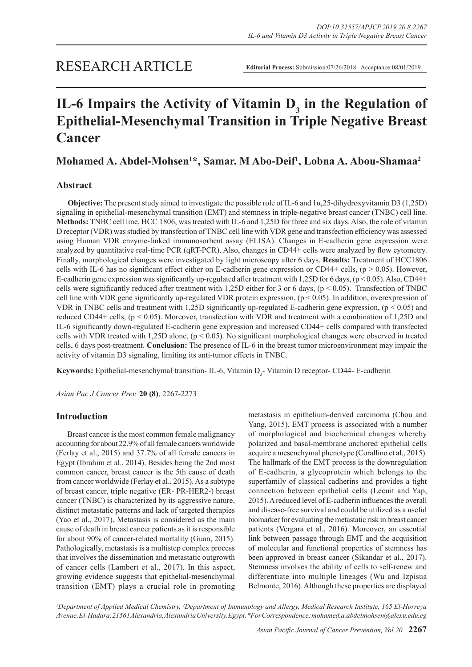# IL-6 Impairs the Activity of Vitamin D<sub>3</sub> in the Regulation of **Epithelial-Mesenchymal Transition in Triple Negative Breast Cancer**

# **Mohamed A. Abdel-Mohsen1 \*, Samar. M Abo-Deif1 , Lobna A. Abou-Shamaa2**

# **Abstract**

**Objective:** The present study aimed to investigate the possible role of IL-6 and 1α,25-dihydroxyvitamin D3 (1,25D) signaling in epithelial-mesenchymal transition (EMT) and stemness in triple-negative breast cancer (TNBC) cell line. **Methods:** TNBC cell line, HCC 1806, was treated with IL-6 and 1,25D for three and six days. Also, the role of vitamin D receptor (VDR) was studied by transfection of TNBC cell line with VDR gene and transfection efficiency was assessed using Human VDR enzyme-linked immunosorbent assay (ELISA). Changes in E-cadherin gene expression were analyzed by quantitative real-time PCR (qRT-PCR). Also, changes in CD44+ cells were analyzed by flow cytometry. Finally, morphological changes were investigated by light microscopy after 6 days. **Results:** Treatment of HCC1806 cells with IL-6 has no significant effect either on E-cadherin gene expression or CD44+ cells,  $(p > 0.05)$ . However, E-cadherin gene expression was significantly up-regulated after treatment with 1,25D for 6 days,  $(p < 0.05)$ . Also, CD44+ cells were significantly reduced after treatment with 1,25D either for 3 or 6 days,  $(p < 0.05)$ . Transfection of TNBC cell line with VDR gene significantly up-regulated VDR protein expression,  $(p < 0.05)$ . In addition, overexpression of VDR in TNBC cells and treatment with 1,25D significantly up-regulated E-cadherin gene expression, (p < 0.05) and reduced CD44+ cells, (p < 0.05). Moreover, transfection with VDR and treatment with a combination of 1,25D and IL-6 significantly down-regulated E-cadherin gene expression and increased CD44+ cells compared with transfected cells with VDR treated with 1,25D alone,  $(p < 0.05)$ . No significant morphological changes were observed in treated cells, 6 days post-treatment. **Conclusion:** The presence of IL-6 in the breast tumor microenvironment may impair the activity of vitamin D3 signaling, limiting its anti-tumor effects in TNBC.

**Keywords:** Epithelial-mesenchymal transition- IL-6, Vitamin D<sub>3</sub>-Vitamin D receptor- CD44- E-cadherin

*Asian Pac J Cancer Prev,* **20 (8)**, 2267-2273

# **Introduction**

Breast cancer is the most common female malignancy accounting for about 22.9% of all female cancers worldwide (Ferlay et al., 2015) and 37.7% of all female cancers in Egypt (Ibrahim et al., 2014). Besides being the 2nd most common cancer, breast cancer is the 5th cause of death from cancer worldwide (Ferlay et al., 2015). As a subtype of breast cancer, triple negative (ER- PR-HER2-) breast cancer (TNBC) is characterized by its aggressive nature, distinct metastatic patterns and lack of targeted therapies (Yao et al., 2017). Metastasis is considered as the main cause of death in breast cancer patients as it is responsible for about 90% of cancer-related mortality (Guan, 2015). Pathologically, metastasis is a multistep complex process that involves the dissemination and metastatic outgrowth of cancer cells (Lambert et al., 2017). In this aspect, growing evidence suggests that epithelial-mesenchymal transition (EMT) plays a crucial role in promoting metastasis in epithelium-derived carcinoma (Chou and Yang, 2015). EMT process is associated with a number of morphological and biochemical changes whereby polarized and basal-membrane anchored epithelial cells acquire a mesenchymal phenotype (Corallino et al., 2015). The hallmark of the EMT process is the downregulation of E-cadherin, a glycoprotein which belongs to the superfamily of classical cadherins and provides a tight connection between epithelial cells (Lecuit and Yap, 2015). A reduced level of E-cadherin influences the overall and disease-free survival and could be utilized as a useful biomarker for evaluating the metastatic risk in breast cancer patients (Vergara et al., 2016). Moreover, an essential link between passage through EMT and the acquisition of molecular and functional properties of stemness has been approved in breast cancer (Sikandar et al., 2017). Stemness involves the ability of cells to self-renew and differentiate into multiple lineages (Wu and Izpisua Belmonte, 2016). Although these properties are displayed

<sup>1</sup>Department of Applied Medical Chemistry, <sup>2</sup>Department of Immunology and Allergy, Medical Research Institute, 165 El-Horreya *Avenue, El-Hadara, 21561 Alexandria, Alexandria University, Egypt. \*For Correspondence: mohamed.a.abdelmohsen@alexu.edu.eg*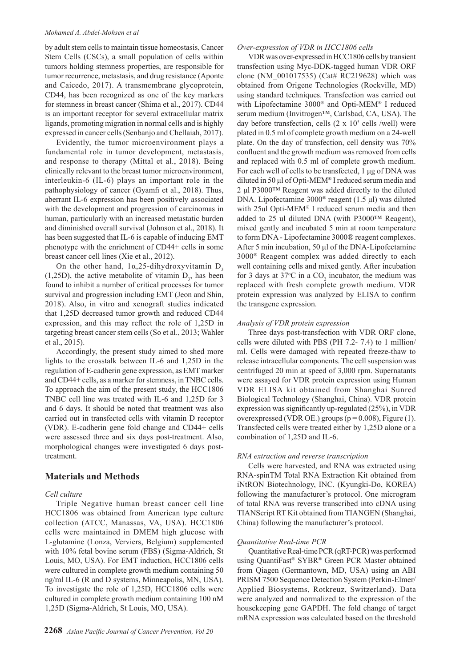#### *Mohamed A. Abdel-Mohsen et al*

by adult stem cells to maintain tissue homeostasis, Cancer Stem Cells (CSCs), a small population of cells within tumors holding stemness properties, are responsible for tumor recurrence, metastasis, and drug resistance (Aponte and Caicedo, 2017). A transmembrane glycoprotein, CD44, has been recognized as one of the key markers for stemness in breast cancer (Shima et al., 2017). CD44 is an important receptor for several extracellular matrix ligands, promoting migration in normal cells and is highly expressed in cancer cells (Senbanjo and Chellaiah, 2017).

Evidently, the tumor microenvironment plays a fundamental role in tumor development, metastasis, and response to therapy (Mittal et al., 2018). Being clinically relevant to the breast tumor microenvironment, interleukin-6 (IL-6) plays an important role in the pathophysiology of cancer (Gyamfi et al., 2018). Thus, aberrant IL-6 expression has been positively associated with the development and progression of carcinomas in human, particularly with an increased metastatic burden and diminished overall survival (Johnson et al., 2018). It has been suggested that IL-6 is capable of inducing EMT phenotype with the enrichment of CD44+ cells in some breast cancer cell lines (Xie et al., 2012).

On the other hand,  $1\alpha$ , 25-dihydroxyvitamin D<sub>3</sub>  $(1,25D)$ , the active metabolite of vitamin  $D_3$ , has been found to inhibit a number of critical processes for tumor survival and progression including EMT (Jeon and Shin, 2018). Also, in vitro and xenograft studies indicated that 1,25D decreased tumor growth and reduced CD44 expression, and this may reflect the role of 1,25D in targeting breast cancer stem cells (So et al., 2013; Wahler et al., 2015).

Accordingly, the present study aimed to shed more lights to the crosstalk between IL-6 and 1,25D in the regulation of E-cadherin gene expression, as EMT marker and CD44+ cells, as a marker for stemness, in TNBC cells. To approach the aim of the present study, the HCC1806 TNBC cell line was treated with IL-6 and 1,25D for 3 and 6 days. It should be noted that treatment was also carried out in transfected cells with vitamin D receptor (VDR). E-cadherin gene fold change and CD44+ cells were assessed three and six days post-treatment. Also, morphological changes were investigated 6 days posttreatment.

# **Materials and Methods**

#### *Cell culture*

Triple Negative human breast cancer cell line HCC1806 was obtained from American type culture collection (ATCC, Manassas, VA, USA). HCC1806 cells were maintained in DMEM high glucose with L-glutamine (Lonza, Verviers, Belgium) supplemented with 10% fetal bovine serum (FBS) (Sigma-Aldrich, St Louis, MO, USA). For EMT induction, HCC1806 cells were cultured in complete growth medium containing 50 ng/ml IL-6 (R and D systems, Minneapolis, MN, USA). To investigate the role of 1,25D, HCC1806 cells were cultured in complete growth medium containing 100 nM 1,25D (Sigma-Aldrich, St Louis, MO, USA).

## *Over-expression of VDR in HCC1806 cells*

VDR was over-expressed in HCC1806 cells by transient transfection using Myc-DDK-tagged human VDR ORF clone (NM\_001017535) (Cat# RC219628) which was obtained from Origene Technologies (Rockville, MD) using standard techniques. Transfection was carried out with Lipofectamine 3000® and Opti-MEM® I reduced serum medium (Invitrogen™, Carlsbad, CA, USA). The day before transfection, cells  $(2 \times 10^5 \text{ cells /well})$  were plated in 0.5 ml of complete growth medium on a 24-well plate. On the day of transfection, cell density was 70% confluent and the growth medium was removed from cells and replaced with 0.5 ml of complete growth medium. For each well of cells to be transfected, 1 μg of DNA was diluted in 50 μl of Opti-MEM® I reduced serum media and 2 μl P3000™ Reagent was added directly to the diluted DNA. Lipofectamine 3000® reagent (1.5 μl) was diluted with 25ul Opti-MEM® I reduced serum media and then added to 25 ul diluted DNA (with P3000™ Reagent), mixed gently and incubated 5 min at room temperature to form DNA - Lipofectamine 3000® reagent complexes. After 5 min incubation, 50 μl of the DNA-Lipofectamine 3000® Reagent complex was added directly to each well containing cells and mixed gently. After incubation for 3 days at 37 $\degree$ C in a CO<sub>2</sub> incubator, the medium was replaced with fresh complete growth medium. VDR protein expression was analyzed by ELISA to confirm the transgene expression.

## *Analysis of VDR protein expression*

Three days post-transfection with VDR ORF clone, cells were diluted with PBS (PH 7.2- 7.4) to 1 million/ ml. Cells were damaged with repeated freeze-thaw to release intracellular components. The cell suspension was centrifuged 20 min at speed of 3,000 rpm. Supernatants were assayed for VDR protein expression using Human VDR ELISA kit obtained from Shanghai Sunred Biological Technology (Shanghai, China). VDR protein expression was significantly up-regulated (25%), in VDR overexpressed (VDR OE.) groups ( $p = 0.008$ ), Figure (1). Transfected cells were treated either by 1,25D alone or a combination of 1,25D and IL-6.

### *RNA extraction and reverse transcription*

Cells were harvested, and RNA was extracted using RNA-spinTM Total RNA Extraction Kit obtained from iNtRON Biotechnology, INC. (Kyungki-Do, KOREA) following the manufacturer's protocol. One microgram of total RNA was reverse transcribed into cDNA using TIANScript RT Kit obtained from TIANGEN (Shanghai, China) following the manufacturer's protocol.

#### *Quantitative Real-time PCR*

Quantitative Real-time PCR (qRT-PCR) was performed using QuantiFast® SYBR® Green PCR Master obtained from Qiagen (Germantown, MD, USA) using an ABI PRISM 7500 Sequence Detection System (Perkin-Elmer/ Applied Biosystems, Rotkreuz, Switzerland). Data were analyzed and normalized to the expression of the housekeeping gene GAPDH. The fold change of target mRNA expression was calculated based on the threshold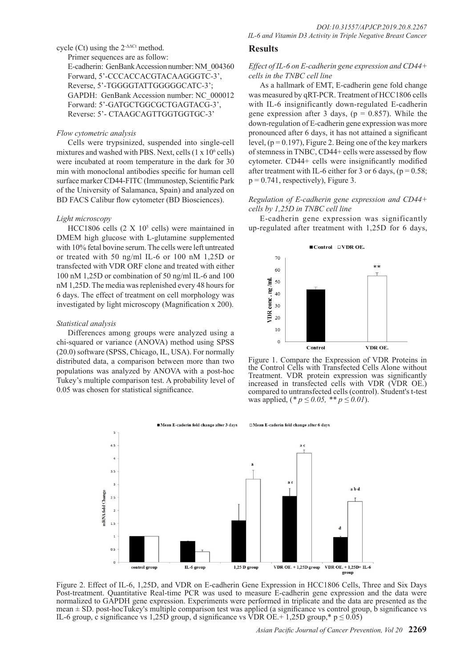# cycle (Ct) using the  $2$ <sup>- $\triangle$  $\triangle$ Ct method.</sup>

Primer sequences are as follow:

E-cadherin: GenBank Accession number: NM\_004360 Forward, 5'-CCCACCACGTACAAGGGTC-3', Reverse, 5'-TGGGGTATTGGGGGCATC-3'; GAPDH: GenBank Accession number: NC\_000012 Forward: 5'-GATGCTGGCGCTGAGTACG-3', Reverse: 5'- CTAAGCAGTTGGTGGTGC-3'

## *Flow cytometric analysis*

Cells were trypsinized, suspended into single-cell mixtures and washed with PBS. Next, cells  $(1 \times 10^6 \text{ cells})$ were incubated at room temperature in the dark for 30 min with monoclonal antibodies specific for human cell surface marker CD44-FITC (Immunostep, Scientific Park of the University of Salamanca, Spain) and analyzed on BD FACS Calibur flow cytometer (BD Biosciences).

#### *Light microscopy*

 $HCC1806$  cells  $(2 \times 10^5 \text{ cells})$  were maintained in DMEM high glucose with L-glutamine supplemented with 10% fetal bovine serum. The cells were left untreated or treated with 50 ng/ml IL-6 or 100 nM 1,25D or transfected with VDR ORF clone and treated with either 100 nM 1,25D or combination of 50 ng/ml IL-6 and 100 nM 1,25D. The media was replenished every 48 hours for 6 days. The effect of treatment on cell morphology was investigated by light microscopy (Magnification x 200).

#### *Statistical analysis*

Differences among groups were analyzed using a chi-squared or variance (ANOVA) method using SPSS (20.0) software (SPSS, Chicago, IL, USA). For normally distributed data, a comparison between more than two populations was analyzed by ANOVA with a post-hoc Tukey's multiple comparison test. A probability level of 0.05 was chosen for statistical significance.

# **Results**

## *Effect of IL-6 on E-cadherin gene expression and CD44+ cells in the TNBC cell line*

As a hallmark of EMT, E-cadherin gene fold change was measured by qRT-PCR. Treatment of HCC1806 cells with IL-6 insignificantly down-regulated E-cadherin gene expression after 3 days, ( $p = 0.857$ ). While the down-regulation of E-cadherin gene expression was more pronounced after 6 days, it has not attained a significant level,  $(p = 0.197)$ , Figure 2. Being one of the key markers of stemness in TNBC, CD44+ cells were assessed by flow cytometer. CD44+ cells were insignificantly modified after treatment with IL-6 either for 3 or 6 days,  $(p = 0.58)$ ;  $p = 0.741$ , respectively), Figure 3.

## *Regulation of E-cadherin gene expression and CD44+ cells by 1,25D in TNBC cell line*

E-cadherin gene expression was significantly up-regulated after treatment with 1,25D for 6 days,



Figure 1. Compare the Expression of VDR Proteins in the Control Cells with Transfected Cells Alone without Treatment. VDR protein expression was significantly increased in transfected cells with VDR (VDR OE.) compared to untransfected cells (control). Student's t-test was applied,  $(* p \le 0.05, ** p \le 0.01)$ .



Figure 2. Effect of IL-6, 1,25D, and VDR on E-cadherin Gene Expression in HCC1806 Cells, Three and Six Days Post-treatment. Quantitative Real-time PCR was used to measure E-cadherin gene expression and the data were normalized to GAPDH gene expression. Experiments were performed in triplicate and the data are presented as the mean ± SD. post-hocTukey's multiple comparison test was applied (a significance vs control group, b significance vs IL-6 group, c significance vs 1,25D group, d significance vs VDR OE.+ 1,25D group,\*  $p \le 0.05$ )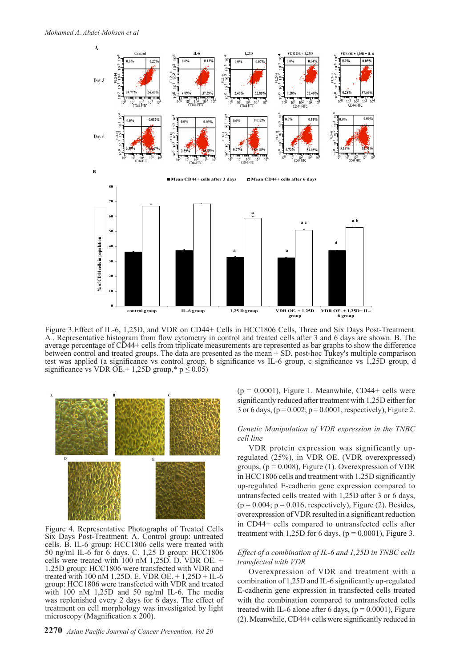

Figure 3.Effect of IL-6, 1,25D, and VDR on CD44+ Cells in HCC1806 Cells, Three and Six Days Post-Treatment. A . Representative histogram from flow cytometry in control and treated cells after 3 and 6 days are shown. B. The average percentage of CD44+ cells from triplicate measurements are represented as bar graphs to show the difference between control and treated groups. The data are presented as the mean ± SD. post-hoc Tukey's multiple comparison test was applied (a significance vs control group, b significance vs IL-6 group, c significance vs 1,25D group, d significance vs VDR OE.+ 1,25D group,\*  $p \le 0.05$ )



Figure 4. Representative Photographs of Treated Cells Six Days Post-Treatment. A. Control group: untreated cells. B. IL-6 group: HCC1806 cells were treated with 50 ng/ml IL-6 for 6 days. C. 1,25 D group: HCC1806 cells were treated with 100 nM 1,25D. D. VDR OE. + 1,25D group: HCC1806 were transfected with VDR and treated with 100 nM 1,25D. E. VDR OE. + 1,25D + IL-6 group: HCC1806 were transfected with VDR and treated with 100 nM 1,25D and 50 ng/ml IL-6. The media was replenished every 2 days for 6 days. The effect of treatment on cell morphology was investigated by light microscopy (Magnification x 200).

 $(p = 0.0001)$ , Figure 1. Meanwhile, CD44+ cells were significantly reduced after treatment with 1,25D either for 3 or 6 days,  $(p = 0.002; p = 0.0001$ , respectively), Figure 2.

# *Genetic Manipulation of VDR expression in the TNBC cell line*

VDR protein expression was significantly upregulated (25%), in VDR OE. (VDR overexpressed) groups,  $(p = 0.008)$ , Figure (1). Overexpression of VDR in HCC1806 cells and treatment with 1,25D significantly up-regulated E-cadherin gene expression compared to untransfected cells treated with 1,25D after 3 or 6 days,  $(p = 0.004; p = 0.016$ , respectively), Figure (2). Besides, overexpression of VDR resulted in a significant reduction in CD44+ cells compared to untransfected cells after treatment with 1,25D for 6 days,  $(p = 0.0001)$ , Figure 3.

## *Effect of a combination of IL-6 and 1,25D in TNBC cells transfected with VDR*

Overexpression of VDR and treatment with a combination of 1,25D and IL-6 significantly up-regulated E-cadherin gene expression in transfected cells treated with the combination compared to untransfected cells treated with IL-6 alone after 6 days,  $(p = 0.0001)$ , Figure (2). Meanwhile, CD44+ cells were significantly reduced in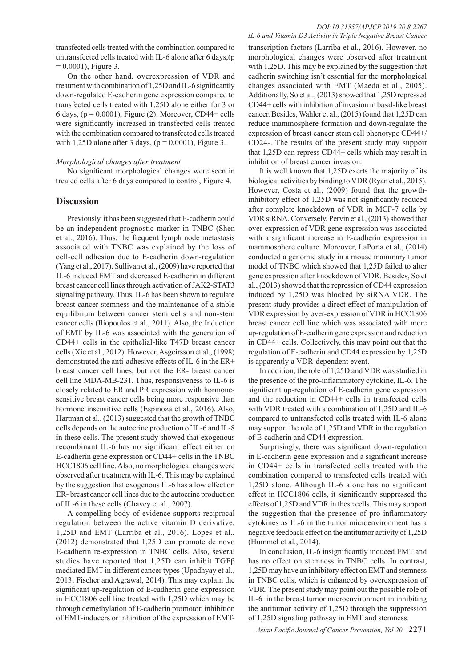transfected cells treated with the combination compared to untransfected cells treated with IL-6 alone after 6 days,(p  $= 0.0001$ ), Figure 3.

On the other hand, overexpression of VDR and treatment with combination of 1,25D and IL-6 significantly down-regulated E-cadherin gene expression compared to transfected cells treated with 1,25D alone either for 3 or 6 days,  $(p = 0.0001)$ , Figure (2). Moreover, CD44+ cells were significantly increased in transfected cells treated with the combination compared to transfected cells treated with 1,25D alone after 3 days,  $(p = 0.0001)$ , Figure 3.

#### *Morphological changes after treatment*

No significant morphological changes were seen in treated cells after 6 days compared to control, Figure 4.

## **Discussion**

Previously, it has been suggested that E-cadherin could be an independent prognostic marker in TNBC (Shen et al., 2016). Thus, the frequent lymph node metastasis associated with TNBC was explained by the loss of cell-cell adhesion due to E-cadherin down-regulation (Yang et al., 2017). Sullivan et al., (2009) have reported that IL-6 induced EMT and decreased E-cadherin in different breast cancer cell lines through activation of JAK2-STAT3 signaling pathway. Thus, IL-6 has been shown to regulate breast cancer stemness and the maintenance of a stable equilibrium between cancer stem cells and non-stem cancer cells (Iliopoulos et al., 2011). Also, the Induction of EMT by IL-6 was associated with the generation of CD44+ cells in the epithelial-like T47D breast cancer cells (Xie et al., 2012). However, Asgeirsson et al., (1998) demonstrated the anti-adhesive effects of IL-6 in the ER+ breast cancer cell lines, but not the ER- breast cancer cell line MDA-MB-231. Thus, responsiveness to IL-6 is closely related to ER and PR expression with hormonesensitive breast cancer cells being more responsive than hormone insensitive cells (Espinoza et al., 2016). Also, Hartman et al., (2013) suggested that the growth of TNBC cells depends on the autocrine production of IL-6 and IL-8 in these cells. The present study showed that exogenous recombinant IL-6 has no significant effect either on E-cadherin gene expression or CD44+ cells in the TNBC HCC1806 cell line. Also, no morphological changes were observed after treatment with IL-6. This may be explained by the suggestion that exogenous IL-6 has a low effect on ER- breast cancer cell lines due to the autocrine production of IL-6 in these cells (Chavey et al., 2007).

A compelling body of evidence supports reciprocal regulation between the active vitamin D derivative, 1,25D and EMT (Larriba et al., 2016). Lopes et al., (2012) demonstrated that 1,25D can promote de novo E-cadherin re-expression in TNBC cells. Also, several studies have reported that 1,25D can inhibit TGFβ mediated EMT in different cancer types (Upadhyay et al., 2013; Fischer and Agrawal, 2014). This may explain the significant up-regulation of E-cadherin gene expression in HCC1806 cell line treated with 1,25D which may be through demethylation of E-cadherin promotor, inhibition of EMT-inducers or inhibition of the expression of EMT-

transcription factors (Larriba et al., 2016). However, no morphological changes were observed after treatment with 1,25D. This may be explained by the suggestion that cadherin switching isn't essential for the morphological changes associated with EMT (Maeda et al., 2005). Additionally, So et al., (2013) showed that 1,25D repressed CD44+ cells with inhibition of invasion in basal-like breast cancer. Besides, Wahler et al., (2015) found that 1,25D can reduce mammosphere formation and down-regulate the expression of breast cancer stem cell phenotype CD44+/ CD24-. The results of the present study may support that 1,25D can repress CD44+ cells which may result in inhibition of breast cancer invasion.

It is well known that 1,25D exerts the majority of its biological activities by binding to VDR (Ryan et al., 2015). However, Costa et al., (2009) found that the growthinhibitory effect of 1,25D was not significantly reduced after complete knockdown of VDR in MCF-7 cells by VDR siRNA. Conversely, Pervin et al., (2013) showed that over-expression of VDR gene expression was associated with a significant increase in E-cadherin expression in mammosphere culture. Moreover, LaPorta et al., (2014) conducted a genomic study in a mouse mammary tumor model of TNBC which showed that 1,25D failed to alter gene expression after knockdown of VDR. Besides, So et al., (2013) showed that the repression of CD44 expression induced by 1,25D was blocked by siRNA VDR. The present study provides a direct effect of manipulation of VDR expression by over-expression of VDR in HCC1806 breast cancer cell line which was associated with more up-regulation of E-cadherin gene expression and reduction in CD44+ cells. Collectively, this may point out that the regulation of E-cadherin and CD44 expression by 1,25D is apparently a VDR-dependent event.

In addition, the role of 1,25D and VDR was studied in the presence of the pro-inflammatory cytokine, IL-6. The significant up-regulation of E-cadherin gene expression and the reduction in CD44+ cells in transfected cells with VDR treated with a combination of 1,25D and IL-6 compared to untransfected cells treated with IL-6 alone may support the role of 1,25D and VDR in the regulation of E-cadherin and CD44 expression.

Surprisingly, there was significant down-regulation in E-cadherin gene expression and a significant increase in CD44+ cells in transfected cells treated with the combination compared to transfected cells treated with 1,25D alone. Although IL-6 alone has no significant effect in HCC1806 cells, it significantly suppressed the effects of 1,25D and VDR in these cells. This may support the suggestion that the presence of pro-inflammatory cytokines as IL-6 in the tumor microenvironment has a negative feedback effect on the antitumor activity of 1,25D (Hummel et al., 2014).

In conclusion, IL-6 insignificantly induced EMT and has no effect on stemness in TNBC cells. In contrast, 1,25D may have an inhibitory effect on EMT and stemness in TNBC cells, which is enhanced by overexpression of VDR. The present study may point out the possible role of IL-6 in the breast tumor microenvironment in inhibiting the antitumor activity of 1,25D through the suppression of 1,25D signaling pathway in EMT and stemness.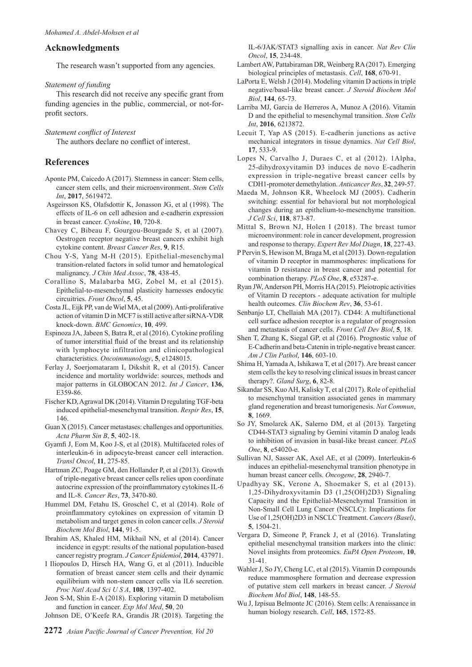# **Acknowledgments**

The research wasn't supported from any agencies.

## *Statement of funding*

This research did not receive any specific grant from funding agencies in the public, commercial, or not-forprofit sectors.

*Statement conflict of Interest*

The authors declare no conflict of interest.

# **References**

- Aponte PM, Caicedo A (2017). Stemness in cancer: Stem cells, cancer stem cells, and their microenvironment. *Stem Cells Int*, **2017**, 5619472.
- Asgeirsson KS, Olafsdottir K, Jonasson JG, et al (1998). The effects of IL-6 on cell adhesion and e-cadherin expression in breast cancer. *Cytokine*, **10**, 720-8.
- Chavey C, Bibeau F, Gourgou-Bourgade S, et al (2007). Oestrogen receptor negative breast cancers exhibit high cytokine content. *Breast Cancer Res*, **9**, R15.
- Chou Y-S, Yang M-H (2015). Epithelial-mesenchymal transition-related factors in solid tumor and hematological malignancy. *J Chin Med Assoc*, **78**, 438-45.
- Corallino S, Malabarba MG, Zobel M, et al (2015). Epithelial-to-mesenchymal plasticity harnesses endocytic circuitries. *Front Oncol*, **5**, 45.
- Costa JL, Eijk PP, van de Wiel MA, et al (2009). Anti-proliferative action of vitamin D in MCF7 is still active after siRNA-VDR knock-down. *BMC Genomics*, **10**, 499.
- Espinoza JA, Jabeen S, Batra R, et al (2016). Cytokine profiling of tumor interstitial fluid of the breast and its relationship with lymphocyte infiltration and clinicopathological characteristics. *Oncoimmunology*, **5**, e1248015.
- Ferlay J, Soerjomataram I, Dikshit R, et al (2015). Cancer incidence and mortality worldwide: sources, methods and major patterns in GLOBOCAN 2012. *Int J Cancer*, **136**, E359-86.
- Fischer KD, Agrawal DK (2014). Vitamin D regulating TGF-beta induced epithelial-mesenchymal transition. *Respir Res*, **15**, 146.
- Guan X (2015). Cancer metastases: challenges and opportunities. *Acta Pharm Sin B*, **5**, 402-18.
- Gyamfi J, Eom M, Koo J-S, et al (2018). Multifaceted roles of interleukin-6 in adipocyte-breast cancer cell interaction. *Transl Oncol*, **11**, 275-85.
- Hartman ZC, Poage GM, den Hollander P, et al (2013). Growth of triple-negative breast cancer cells relies upon coordinate autocrine expression of the proinflammatory cytokines IL-6 and IL-8. *Cancer Res*, **73**, 3470-80.
- Hummel DM, Fetahu IS, Groschel C, et al (2014). Role of proinflammatory cytokines on expression of vitamin D metabolism and target genes in colon cancer cells. *J Steroid Biochem Mol Biol*, **144**, 91-5.
- Ibrahim AS, Khaled HM, Mikhail NN, et al (2014). Cancer incidence in egypt: results of the national population-based cancer registry program. *J Cancer Epidemiol*, **2014**, 437971.
- I Iliopoulos D, Hirsch HA, Wang G, et al (2011). Inducible formation of breast cancer stem cells and their dynamic equilibrium with non-stem cancer cells via IL6 secretion. *Proc Natl Acad Sci U S A*, **108**, 1397-402.
- Jeon S-M, Shin E-A (2018). Exploring vitamin D metabolism and function in cancer. *Exp Mol Med*, **50**, 20
- Johnson DE, O'Keefe RA, Grandis JR (2018). Targeting the

IL-6/JAK/STAT3 signalling axis in cancer. *Nat Rev Clin Oncol*, **15**, 234-48.

- Lambert AW, Pattabiraman DR, Weinberg RA (2017). Emerging biological principles of metastasis. *Cell*, **168**, 670-91.
- LaPorta E, Welsh J (2014). Modeling vitamin D actions in triple negative/basal-like breast cancer. *J Steroid Biochem Mol Biol*, **144**, 65-73.
- Larriba MJ, Garcia de Herreros A, Munoz A (2016). Vitamin D and the epithelial to mesenchymal transition. *Stem Cells Int*, **2016**, 6213872.
- Lecuit T, Yap AS (2015). E-cadherin junctions as active mechanical integrators in tissue dynamics. *Nat Cell Biol*, **17**, 533-9.
- Lopes N, Carvalho J, Duraes C, et al (2012). 1Alpha, 25-dihydroxyvitamin D3 induces de novo E-cadherin expression in triple-negative breast cancer cells by CDH1-promoter demethylation. *Anticancer Res*, **32**, 249-57.
- Maeda M, Johnson KR, Wheelock MJ (2005). Cadherin switching: essential for behavioral but not morphological changes during an epithelium-to-mesenchyme transition. *J Cell Sci*, **118**, 873-87.
- Mittal S, Brown NJ, Holen I (2018). The breast tumor microenvironment: role in cancer development, progression and response to therapy. *Expert Rev Mol Diagn*, **18**, 227-43.
- P Pervin S, Hewison M, Braga M, et al (2013). Down-regulation of vitamin D receptor in mammospheres: implications for vitamin D resistance in breast cancer and potential for combination therapy. *PLoS One*, **8**, e53287-e.
- Ryan JW, Anderson PH, Morris HA (2015). Pleiotropic activities of Vitamin D receptors - adequate activation for multiple health outcomes. *Clin Biochem Rev*, **36**, 53-61.
- Senbanjo LT, Chellaiah MA (2017). CD44: A multifunctional cell surface adhesion receptor is a regulator of progression and metastasis of cancer cells. *Front Cell Dev Biol*, **5**, 18.
- Shen T, Zhang K, Siegal GP, et al (2016). Prognostic value of E-Cadherin and beta-Catenin in triple-negative breast cancer. *Am J Clin Pathol*, **146**, 603-10.
- Shima H, Yamada A, Ishikawa T, et al (2017). Are breast cancer stem cells the key to resolving clinical issues in breast cancer therapy?. *Gland Surg*, **6**, 82-8.
- Sikandar SS, Kuo AH, Kalisky T, et al (2017). Role of epithelial to mesenchymal transition associated genes in mammary gland regeneration and breast tumorigenesis. *Nat Commun*, **8**, 1669.
- So JY, Smolarek AK, Salerno DM, et al (2013). Targeting CD44-STAT3 signaling by Gemini vitamin D analog leads to inhibition of invasion in basal-like breast cancer. *PLoS One*, **8**, e54020-e.
- Sullivan NJ, Sasser AK, Axel AE, et al (2009). Interleukin-6 induces an epithelial-mesenchymal transition phenotype in human breast cancer cells. *Oncogene*, **28**, 2940-7.
- Upadhyay SK, Verone A, Shoemaker S, et al (2013). 1,25-Dihydroxyvitamin D3 (1,25(OH)2D3) Signaling Capacity and the Epithelial-Mesenchymal Transition in Non-Small Cell Lung Cancer (NSCLC): Implications for Use of 1,25(OH)2D3 in NSCLC Treatment. *Cancers (Basel)*, **5**, 1504-21.
- Vergara D, Simeone P, Franck J, et al (2016). Translating epithelial mesenchymal transition markers into the clinic: Novel insights from proteomics. *EuPA Open Proteom*, **10**, 31-41.
- Wahler J, So JY, Cheng LC, et al (2015). Vitamin D compounds reduce mammosphere formation and decrease expression of putative stem cell markers in breast cancer. *J Steroid Biochem Mol Biol*, **148**, 148-55.
- Wu J, Izpisua Belmonte JC (2016). Stem cells: A renaissance in human biology research. *Cell*, **165**, 1572-85.